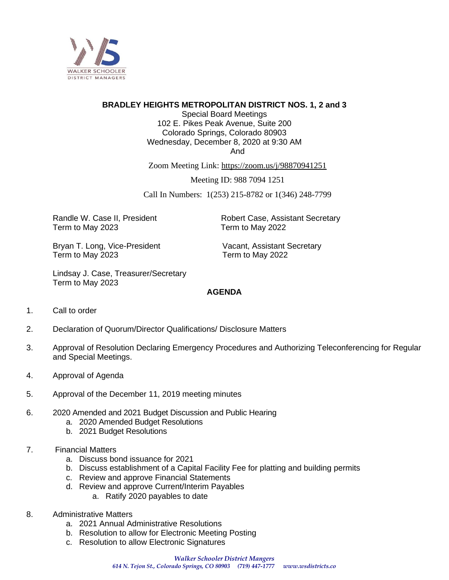

## **BRADLEY HEIGHTS METROPOLITAN DISTRICT NOS. 1, 2 and 3**

Special Board Meetings 102 E. Pikes Peak Avenue, Suite 200 Colorado Springs, Colorado 80903 Wednesday, December 8, 2020 at 9:30 AM And

Zoom Meeting Link: https://zoom.us/j/98870941251

Meeting ID: 988 7094 1251

Call In Numbers: 1(253) 215-8782 or 1(346) 248-7799

Term to May 2023 Term to May 2022

Randle W. Case II, President **Robert Case, Assistant Secretary** 

Bryan T. Long, Vice-President Vacant, Assistant Secretary Term to May 2023 Term to May 2022

Lindsay J. Case, Treasurer/Secretary Term to May 2023

#### **AGENDA**

- 1. Call to order
- 2. Declaration of Quorum/Director Qualifications/ Disclosure Matters
- 3. Approval of Resolution Declaring Emergency Procedures and Authorizing Teleconferencing for Regular and Special Meetings.
- 4. Approval of Agenda
- 5. Approval of the December 11, 2019 meeting minutes
- 6. 2020 Amended and 2021 Budget Discussion and Public Hearing
	- a. 2020 Amended Budget Resolutions
	- b. 2021 Budget Resolutions
- 7. Financial Matters
	- a. Discuss bond issuance for 2021
	- b. Discuss establishment of a Capital Facility Fee for platting and building permits
	- c. Review and approve Financial Statements
	- d. Review and approve Current/Interim Payables
		- a. Ratify 2020 payables to date
- 8. Administrative Matters
	- a. 2021 Annual Administrative Resolutions
	- b. Resolution to allow for Electronic Meeting Posting
	- c. Resolution to allow Electronic Signatures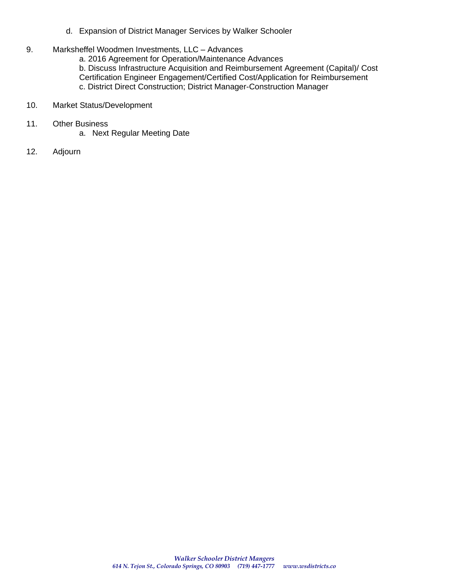- d. Expansion of District Manager Services by Walker Schooler
- 9. Marksheffel Woodmen Investments, LLC Advances

a. 2016 Agreement for Operation/Maintenance Advances

b. Discuss Infrastructure Acquisition and Reimbursement Agreement (Capital)/ Cost Certification Engineer Engagement/Certified Cost/Application for Reimbursement c. District Direct Construction; District Manager-Construction Manager

- 10. Market Status/Development
- 11. Other Business
	- a. Next Regular Meeting Date
- 12. Adjourn